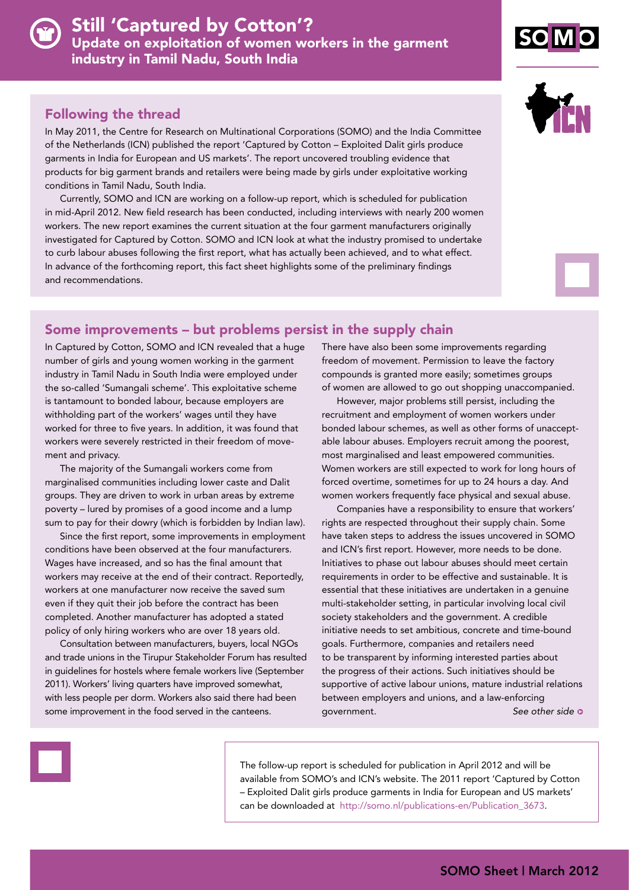

### Following the thread

In May 2011, the Centre for Research on Multinational Corporations (SOMO) and the India Committee of the Netherlands (ICN) published the report 'Captured by Cotton – Exploited Dalit girls produce garments in India for European and US markets'. The report uncovered troubling evidence that products for big garment brands and retailers were being made by girls under exploitative working conditions in Tamil Nadu, South India.

Currently, SOMO and ICN are working on a follow-up report, which is scheduled for publication in mid-April 2012. New field research has been conducted, including interviews with nearly 200 women workers. The new report examines the current situation at the four garment manufacturers originally investigated for Captured by Cotton. SOMO and ICN look at what the industry promised to undertake to curb labour abuses following the first report, what has actually been achieved, and to what effect. In advance of the forthcoming report, this fact sheet highlights some of the preliminary findings and recommendations.





# Some improvements – but problems persist in the supply chain

In Captured by Cotton, SOMO and ICN revealed that a huge number of girls and young women working in the garment industry in Tamil Nadu in South India were employed under the so-called 'Sumangali scheme'. This exploitative scheme is tantamount to bonded labour, because employers are withholding part of the workers' wages until they have worked for three to five years. In addition, it was found that workers were severely restricted in their freedom of movement and privacy.

The majority of the Sumangali workers come from marginalised communities including lower caste and Dalit groups. They are driven to work in urban areas by extreme poverty – lured by promises of a good income and a lump sum to pay for their dowry (which is forbidden by Indian law).

Since the first report, some improvements in employment conditions have been observed at the four manufacturers. Wages have increased, and so has the final amount that workers may receive at the end of their contract. Reportedly, workers at one manufacturer now receive the saved sum even if they quit their job before the contract has been completed. Another manufacturer has adopted a stated policy of only hiring workers who are over 18 years old.

Consultation between manufacturers, buyers, local NGOs and trade unions in the Tirupur Stakeholder Forum has resulted in guidelines for hostels where female workers live (September 2011). Workers' living quarters have improved somewhat, with less people per dorm. Workers also said there had been some improvement in the food served in the canteens.

There have also been some improvements regarding freedom of movement. Permission to leave the factory compounds is granted more easily; sometimes groups of women are allowed to go out shopping unaccompanied.

However, major problems still persist, including the recruitment and employment of women workers under bonded labour schemes, as well as other forms of unacceptable labour abuses. Employers recruit among the poorest, most marginalised and least empowered communities. Women workers are still expected to work for long hours of forced overtime, sometimes for up to 24 hours a day. And women workers frequently face physical and sexual abuse.

Companies have a responsibility to ensure that workers' rights are respected throughout their supply chain. Some have taken steps to address the issues uncovered in SOMO and ICN's first report. However, more needs to be done. Initiatives to phase out labour abuses should meet certain requirements in order to be effective and sustainable. It is essential that these initiatives are undertaken in a genuine multi-stakeholder setting, in particular involving local civil society stakeholders and the government. A credible initiative needs to set ambitious, concrete and time-bound goals. Furthermore, companies and retailers need to be transparent by informing interested parties about the progress of their actions. Such initiatives should be supportive of active labour unions, mature industrial relations between employers and unions, and a law-enforcing government. **See other side** of the side of the side of the side of the side of the side of the side of the side of the side of the side of the side of the side of the side of the side of the side of the side of the side o

The follow-up report is scheduled for publication in April 2012 and will be available from SOMO's and ICN's website. The 2011 report 'Captured by Cotton – Exploited Dalit girls produce garments in India for European and US markets' can be downloaded at [http://somo.nl/publications-en/Publication\\_3673](http://somo.nl/publications-en/Publication_3673).